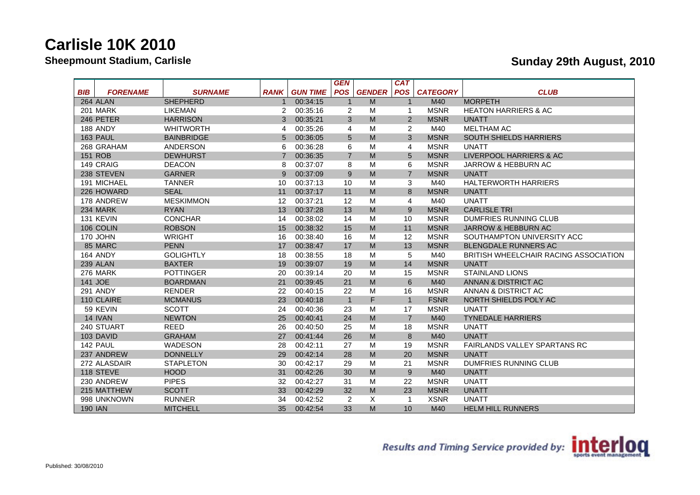|                               |                   |                |                 | <b>GEN</b>     |               | CAT                     |                 |                                       |
|-------------------------------|-------------------|----------------|-----------------|----------------|---------------|-------------------------|-----------------|---------------------------------------|
| <b>BIB</b><br><b>FORENAME</b> | <b>SURNAME</b>    | <b>RANK</b>    | <b>GUN TIME</b> | <b>POS</b>     | <b>GENDER</b> | <b>POS</b>              | <b>CATEGORY</b> | <b>CLUB</b>                           |
| 264 ALAN                      | <b>SHEPHERD</b>   | $\mathbf 1$    | 00:34:15        | $\overline{1}$ | M             | $\overline{1}$          | M40             | <b>MORPETH</b>                        |
| <b>201 MARK</b>               | LIKEMAN           | 2              | 00:35:16        | 2              | M             | $\mathbf 1$             | <b>MSNR</b>     | <b>HEATON HARRIERS &amp; AC</b>       |
| 246 PETER                     | <b>HARRISON</b>   | 3              | 00:35:21        | 3              | M             | 2                       | <b>MSNR</b>     | <b>UNATT</b>                          |
| 188 ANDY                      | <b>WHITWORTH</b>  | 4              | 00:35:26        | 4              | M             | 2                       | M40             | <b>MELTHAM AC</b>                     |
| 163 PAUL                      | <b>BAINBRIDGE</b> | 5              | 00:36:05        | 5              | M             | 3                       | <b>MSNR</b>     | <b>SOUTH SHIELDS HARRIERS</b>         |
| 268 GRAHAM                    | ANDERSON          | 6              | 00:36:28        | 6              | M             | 4                       | <b>MSNR</b>     | <b>UNATT</b>                          |
| <b>151 ROB</b>                | <b>DEWHURST</b>   | $\overline{7}$ | 00:36:35        | $\overline{7}$ | M             | 5                       | <b>MSNR</b>     | LIVERPOOL HARRIERS & AC               |
| 149 CRAIG                     | <b>DEACON</b>     | 8              | 00:37:07        | 8              | M             | 6                       | <b>MSNR</b>     | JARROW & HEBBURN AC                   |
| 238 STEVEN                    | <b>GARNER</b>     | 9              | 00:37:09        | 9              | M             | $\overline{7}$          | <b>MSNR</b>     | <b>UNATT</b>                          |
| 191 MICHAEL                   | <b>TANNER</b>     | 10             | 00:37:13        | 10             | M             | 3                       | M40             | <b>HALTERWORTH HARRIERS</b>           |
| 226 HOWARD                    | <b>SEAL</b>       | 11             | 00:37:17        | 11             | M             | 8                       | <b>MSNR</b>     | <b>UNATT</b>                          |
| 178 ANDREW                    | <b>MESKIMMON</b>  | 12             | 00:37:21        | 12             | M             | 4                       | M40             | <b>UNATT</b>                          |
| 234 MARK                      | <b>RYAN</b>       | 13             | 00:37:28        | 13             | M             | 9                       | <b>MSNR</b>     | <b>CARLISLE TRI</b>                   |
| 131 KEVIN                     | <b>CONCHAR</b>    | 14             | 00:38:02        | 14             | M             | 10                      | <b>MSNR</b>     | DUMFRIES RUNNING CLUB                 |
| 106 COLIN                     | <b>ROBSON</b>     | 15             | 00:38:32        | 15             | M             | 11                      | <b>MSNR</b>     | <b>JARROW &amp; HEBBURN AC</b>        |
| 170 JOHN                      | <b>WRIGHT</b>     | 16             | 00:38:40        | 16             | M             | 12                      | <b>MSNR</b>     | SOUTHAMPTON UNIVERSITY ACC            |
| 85 MARC                       | <b>PENN</b>       | 17             | 00:38:47        | 17             | M             | 13                      | <b>MSNR</b>     | <b>BLENGDALE RUNNERS AC</b>           |
| 164 ANDY                      | <b>GOLIGHTLY</b>  | 18             | 00:38:55        | 18             | M             | 5                       | M40             | BRITISH WHEELCHAIR RACING ASSOCIATION |
| 239 ALAN                      | <b>BAXTER</b>     | 19             | 00:39:07        | 19             | M             | 14                      | <b>MSNR</b>     | <b>UNATT</b>                          |
| 276 MARK                      | <b>POTTINGER</b>  | 20             | 00:39:14        | 20             | M             | 15                      | <b>MSNR</b>     | <b>STAINLAND LIONS</b>                |
| 141 JOE                       | <b>BOARDMAN</b>   | 21             | 00:39:45        | 21             | M             | 6                       | M40             | ANNAN & DISTRICT AC                   |
| <b>291 ANDY</b>               | <b>RENDER</b>     | 22             | 00:40:15        | 22             | M             | 16                      | <b>MSNR</b>     | ANNAN & DISTRICT AC                   |
| 110 CLAIRE                    | <b>MCMANUS</b>    | 23             | 00:40:18        | $\overline{1}$ | F             | $\overline{1}$          | <b>FSNR</b>     | NORTH SHIELDS POLY AC                 |
| 59 KEVIN                      | <b>SCOTT</b>      | 24             | 00:40:36        | 23             | M             | 17                      | <b>MSNR</b>     | <b>UNATT</b>                          |
| 14 IVAN                       | <b>NEWTON</b>     | 25             | 00:40:41        | 24             | M             | $\overline{7}$          | M40             | <b>TYNEDALE HARRIERS</b>              |
| 240 STUART                    | <b>REED</b>       | 26             | 00:40:50        | 25             | M             | 18                      | <b>MSNR</b>     | <b>UNATT</b>                          |
| 103 DAVID                     | <b>GRAHAM</b>     | 27             | 00:41:44        | 26             | M             | 8                       | M40             | <b>UNATT</b>                          |
| 142 PAUL                      | <b>WADESON</b>    | 28             | 00:42:11        | 27             | M             | 19                      | <b>MSNR</b>     | <b>FAIRLANDS VALLEY SPARTANS RC</b>   |
| 237 ANDREW                    | <b>DONNELLY</b>   | 29             | 00:42:14        | 28             | M             | 20                      | <b>MSNR</b>     | <b>UNATT</b>                          |
| 272 ALASDAIR                  | <b>STAPLETON</b>  | 30             | 00:42:17        | 29             | M             | 21                      | <b>MSNR</b>     | <b>DUMFRIES RUNNING CLUB</b>          |
| 118 STEVE                     | <b>HOOD</b>       | 31             | 00:42:26        | 30             | M             | 9                       | M40             | <b>UNATT</b>                          |
| 230 ANDREW                    | <b>PIPES</b>      | 32             | 00:42:27        | 31             | M             | 22                      | <b>MSNR</b>     | <b>UNATT</b>                          |
| 215 MATTHEW                   | <b>SCOTT</b>      | 33             | 00:42:29        | 32             | M             | 23                      | <b>MSNR</b>     | <b>UNATT</b>                          |
| 998 UNKNOWN                   | <b>RUNNER</b>     | 34             | 00:42:52        | 2              | Χ             | $\overline{\mathbf{1}}$ | <b>XSNR</b>     | UNATT                                 |
| <b>190 IAN</b>                | <b>MITCHELL</b>   | 35             | 00:42:54        | 33             | M             | 10                      | M40             | <b>HELM HILL RUNNERS</b>              |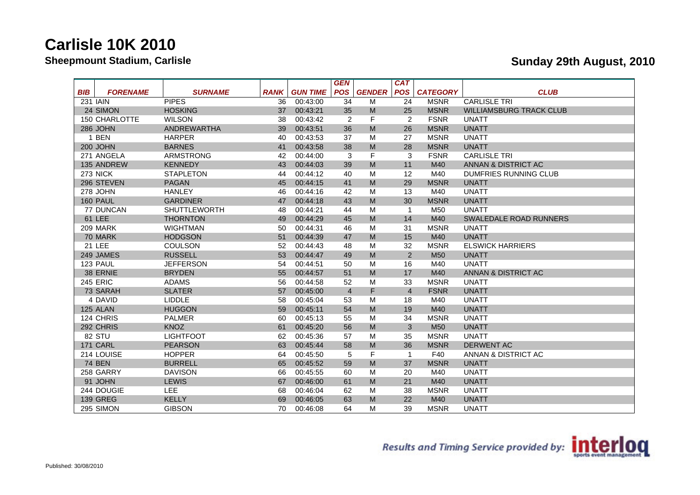|                               |                     |             |                 | <b>GEN</b>     |                                   | <b>CAT</b>     |                 |                                |
|-------------------------------|---------------------|-------------|-----------------|----------------|-----------------------------------|----------------|-----------------|--------------------------------|
| <b>BIB</b><br><b>FORENAME</b> | <b>SURNAME</b>      | <b>RANK</b> | <b>GUN TIME</b> | <b>POS</b>     | <b>GENDER</b>                     | <b>POS</b>     | <b>CATEGORY</b> | <b>CLUB</b>                    |
| 231 IAIN                      | <b>PIPES</b>        | 36          | 00:43:00        | 34             | M                                 | 24             | <b>MSNR</b>     | <b>CARLISLE TRI</b>            |
| 24 SIMON                      | <b>HOSKING</b>      | 37          | 00:43:21        | 35             | $\mathsf{M}% _{H}=\mathsf{M}_{H}$ | 25             | <b>MSNR</b>     | <b>WILLIAMSBURG TRACK CLUB</b> |
| <b>150 CHARLOTTE</b>          | <b>WILSON</b>       | 38          | 00:43:42        | $\overline{2}$ | F                                 | 2              | <b>FSNR</b>     | UNATT                          |
| 286 JOHN                      | <b>ANDREWARTHA</b>  | 39          | 00:43:51        | 36             | M                                 | 26             | <b>MSNR</b>     | <b>UNATT</b>                   |
| 1 BEN                         | <b>HARPER</b>       | 40          | 00:43:53        | 37             | M                                 | 27             | <b>MSNR</b>     | UNATT                          |
| <b>200 JOHN</b>               | <b>BARNES</b>       | 41          | 00:43:58        | 38             | M                                 | 28             | <b>MSNR</b>     | <b>UNATT</b>                   |
| 271 ANGELA                    | ARMSTRONG           | 42          | 00:44:00        | 3              | F                                 | 3              | <b>FSNR</b>     | <b>CARLISLE TRI</b>            |
| 135 ANDREW                    | <b>KENNEDY</b>      | 43          | 00:44:03        | 39             | M                                 | 11             | M40             | ANNAN & DISTRICT AC            |
| 273 NICK                      | <b>STAPLETON</b>    | 44          | 00:44:12        | 40             | M                                 | 12             | M40             | <b>DUMFRIES RUNNING CLUB</b>   |
| 296 STEVEN                    | <b>PAGAN</b>        | 45          | 00:44:15        | 41             | M                                 | 29             | <b>MSNR</b>     | <b>UNATT</b>                   |
| 278 JOHN                      | <b>HANLEY</b>       | 46          | 00:44:16        | 42             | M                                 | 13             | M40             | <b>UNATT</b>                   |
| 160 PAUL                      | <b>GARDINER</b>     | 47          | 00:44:18        | 43             | M                                 | 30             | <b>MSNR</b>     | <b>UNATT</b>                   |
| 77 DUNCAN                     | <b>SHUTTLEWORTH</b> | 48          | 00:44:21        | 44             | M                                 | $\overline{1}$ | M50             | <b>UNATT</b>                   |
| <b>61 LEE</b>                 | <b>THORNTON</b>     | 49          | 00:44:29        | 45             | M                                 | 14             | M40             | <b>SWALEDALE ROAD RUNNERS</b>  |
| 209 MARK                      | <b>WIGHTMAN</b>     | 50          | 00:44:31        | 46             | M                                 | 31             | <b>MSNR</b>     | <b>UNATT</b>                   |
| 70 MARK                       | <b>HODGSON</b>      | 51          | 00:44:39        | 47             | $\mathsf{M}% _{H}=\mathsf{M}_{H}$ | 15             | M40             | <b>UNATT</b>                   |
| <b>21 LEE</b>                 | <b>COULSON</b>      | 52          | 00:44:43        | 48             | M                                 | 32             | <b>MSNR</b>     | <b>ELSWICK HARRIERS</b>        |
| 249 JAMES                     | <b>RUSSELL</b>      | 53          | 00:44:47        | 49             | $\mathsf{M}% _{H}=\mathsf{M}_{H}$ | $\overline{2}$ | M <sub>50</sub> | <b>UNATT</b>                   |
| 123 PAUL                      | <b>JEFFERSON</b>    | 54          | 00:44:51        | 50             | M                                 | 16             | M40             | <b>UNATT</b>                   |
| 38 ERNIE                      | <b>BRYDEN</b>       | 55          | 00:44:57        | 51             | M                                 | 17             | M40             | ANNAN & DISTRICT AC            |
| <b>245 ERIC</b>               | <b>ADAMS</b>        | 56          | 00:44:58        | 52             | M                                 | 33             | <b>MSNR</b>     | <b>UNATT</b>                   |
| 73 SARAH                      | <b>SLATER</b>       | 57          | 00:45:00        | $\overline{4}$ | F.                                | $\overline{4}$ | <b>FSNR</b>     | <b>UNATT</b>                   |
| 4 DAVID                       | <b>LIDDLE</b>       | 58          | 00:45:04        | 53             | M                                 | 18             | M40             | <b>UNATT</b>                   |
| 125 ALAN                      | <b>HUGGON</b>       | 59          | 00:45:11        | 54             | $\mathsf{M}% _{H}=\mathsf{M}_{H}$ | 19             | M40             | <b>UNATT</b>                   |
| 124 CHRIS                     | <b>PALMER</b>       | 60          | 00:45:13        | 55             | M                                 | 34             | <b>MSNR</b>     | <b>UNATT</b>                   |
| 292 CHRIS                     | <b>KNOZ</b>         | 61          | 00:45:20        | 56             | $\mathsf{M}% _{H}=\mathsf{M}_{H}$ | 3              | M <sub>50</sub> | <b>UNATT</b>                   |
| 82 STU                        | <b>LIGHTFOOT</b>    | 62          | 00:45:36        | 57             | M                                 | 35             | <b>MSNR</b>     | <b>UNATT</b>                   |
| 171 CARL                      | <b>PEARSON</b>      | 63          | 00:45:44        | 58             | M                                 | 36             | <b>MSNR</b>     | <b>DERWENT AC</b>              |
| 214 LOUISE                    | <b>HOPPER</b>       | 64          | 00:45:50        | 5              | F                                 | $\mathbf{1}$   | F40             | ANNAN & DISTRICT AC            |
| <b>74 BEN</b>                 | <b>BURRELL</b>      | 65          | 00:45:52        | 59             | $\mathsf{M}% _{H}=\mathsf{M}_{H}$ | 37             | <b>MSNR</b>     | <b>UNATT</b>                   |
| 258 GARRY                     | <b>DAVISON</b>      | 66          | 00:45:55        | 60             | M                                 | 20             | M40             | <b>UNATT</b>                   |
| 91 JOHN                       | <b>LEWIS</b>        | 67          | 00:46:00        | 61             | $\mathsf{M}% _{H}=\mathsf{M}_{H}$ | 21             | M40             | <b>UNATT</b>                   |
| 244 DOUGIE                    | <b>LEE</b>          | 68          | 00:46:04        | 62             | M                                 | 38             | <b>MSNR</b>     | <b>UNATT</b>                   |
| <b>139 GREG</b>               | <b>KELLY</b>        | 69          | 00:46:05        | 63             | $\mathsf{M}% _{H}=\mathsf{M}_{H}$ | 22             | M40             | <b>UNATT</b>                   |
| 295 SIMON                     | <b>GIBSON</b>       | 70          | 00:46:08        | 64             | M                                 | 39             | <b>MSNR</b>     | <b>UNATT</b>                   |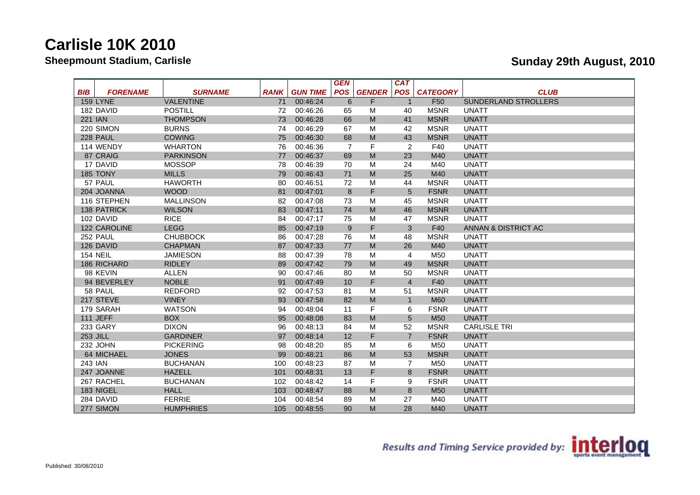|                               |                  |             |                 | <b>GEN</b>     |                                   | CAT             |                 |                      |
|-------------------------------|------------------|-------------|-----------------|----------------|-----------------------------------|-----------------|-----------------|----------------------|
| <b>BIB</b><br><b>FORENAME</b> | <b>SURNAME</b>   | <b>RANK</b> | <b>GUN TIME</b> | <b>POS</b>     | <b>GENDER</b>                     | <b>POS</b>      | <b>CATEGORY</b> | <b>CLUB</b>          |
| <b>159 LYNE</b>               | <b>VALENTINE</b> | 71          | 00:46:24        | 6              | F                                 | -1              | F <sub>50</sub> | SUNDERLAND STROLLERS |
| 182 DAVID                     | <b>POSTILL</b>   | 72          | 00:46:26        | 65             | M                                 | 40              | <b>MSNR</b>     | UNATT                |
| <b>221 IAN</b>                | <b>THOMPSON</b>  | 73          | 00:46:28        | 66             | M                                 | 41              | <b>MSNR</b>     | <b>UNATT</b>         |
| 220 SIMON                     | <b>BURNS</b>     | 74          | 00:46:29        | 67             | M                                 | 42              | <b>MSNR</b>     | <b>UNATT</b>         |
| 228 PAUL                      | <b>COWING</b>    | 75          | 00:46:30        | 68             | M                                 | 43              | <b>MSNR</b>     | <b>UNATT</b>         |
| 114 WENDY                     | <b>WHARTON</b>   | 76          | 00:46:36        | $\overline{7}$ | F                                 | 2               | F40             | <b>UNATT</b>         |
| 87 CRAIG                      | <b>PARKINSON</b> | 77          | 00:46:37        | 69             | M                                 | 23              | M40             | <b>UNATT</b>         |
| 17 DAVID                      | <b>MOSSOP</b>    | 78          | 00:46:39        | 70             | M                                 | 24              | M40             | <b>UNATT</b>         |
| 185 TONY                      | <b>MILLS</b>     | 79          | 00:46:43        | 71             | $\mathsf{M}% _{H}=\mathsf{M}_{H}$ | 25              | M40             | <b>UNATT</b>         |
| 57 PAUL                       | <b>HAWORTH</b>   | 80          | 00:46:51        | 72             | M                                 | 44              | <b>MSNR</b>     | UNATT                |
| 204 JOANNA                    | <b>WOOD</b>      | 81          | 00:47:01        | 8              | F                                 | 5               | <b>FSNR</b>     | <b>UNATT</b>         |
| 116 STEPHEN                   | <b>MALLINSON</b> | 82          | 00:47:08        | 73             | M                                 | 45              | <b>MSNR</b>     | UNATT                |
| <b>138 PATRICK</b>            | <b>WILSON</b>    | 83          | 00:47:11        | 74             | M                                 | 46              | <b>MSNR</b>     | <b>UNATT</b>         |
| 102 DAVID                     | <b>RICE</b>      | 84          | 00:47:17        | 75             | M                                 | 47              | <b>MSNR</b>     | <b>UNATT</b>         |
| 122 CAROLINE                  | <b>LEGG</b>      | 85          | 00:47:19        | 9              | F.                                | 3               | F40             | ANNAN & DISTRICT AC  |
| 252 PAUL                      | <b>CHUBBOCK</b>  | 86          | 00:47:28        | 76             | M                                 | 48              | <b>MSNR</b>     | <b>UNATT</b>         |
| 126 DAVID                     | <b>CHAPMAN</b>   | 87          | 00:47:33        | 77             | $\mathsf{M}% _{H}=\mathsf{M}_{H}$ | 26              | M40             | <b>UNATT</b>         |
| <b>154 NEIL</b>               | <b>JAMIESON</b>  | 88          | 00:47:39        | 78             | M                                 | 4               | M50             | <b>UNATT</b>         |
| 186 RICHARD                   | <b>RIDLEY</b>    | 89          | 00:47:42        | 79             | $\mathsf{M}% _{H}=\mathsf{M}_{H}$ | 49              | <b>MSNR</b>     | <b>UNATT</b>         |
| 98 KEVIN                      | <b>ALLEN</b>     | 90          | 00:47:46        | 80             | M                                 | 50              | <b>MSNR</b>     | UNATT                |
| 94 BEVERLEY                   | <b>NOBLE</b>     | 91          | 00:47:49        | 10             | F.                                | $\overline{4}$  | F40             | <b>UNATT</b>         |
| 58 PAUL                       | <b>REDFORD</b>   | 92          | 00:47:53        | 81             | M                                 | 51              | <b>MSNR</b>     | <b>UNATT</b>         |
| 217 STEVE                     | <b>VINEY</b>     | 93          | 00:47:58        | 82             | $\mathsf{M}% _{H}=\mathsf{M}_{H}$ | $\overline{1}$  | <b>M60</b>      | <b>UNATT</b>         |
| 179 SARAH                     | <b>WATSON</b>    | 94          | 00:48:04        | 11             | F                                 | 6               | <b>FSNR</b>     | <b>UNATT</b>         |
| 111 JEFF                      | <b>BOX</b>       | 95          | 00:48:08        | 83             | $\mathsf{M}% _{H}=\mathsf{M}_{H}$ | $5\overline{)}$ | M <sub>50</sub> | <b>UNATT</b>         |
| 233 GARY                      | <b>DIXON</b>     | 96          | 00:48:13        | 84             | M                                 | 52              | <b>MSNR</b>     | <b>CARLISLE TRI</b>  |
| <b>253 JILL</b>               | <b>GARDINER</b>  | 97          | 00:48:14        | 12             | F                                 | $\overline{7}$  | <b>FSNR</b>     | <b>UNATT</b>         |
| 232 JOHN                      | <b>PICKERING</b> | 98          | 00:48:20        | 85             | M                                 | 6               | M50             | <b>UNATT</b>         |
| 64 MICHAEL                    | <b>JONES</b>     | 99          | 00:48:21        | 86             | $\mathsf{M}% _{H}=\mathsf{M}_{H}$ | 53              | <b>MSNR</b>     | <b>UNATT</b>         |
| 243 IAN                       | <b>BUCHANAN</b>  | 100         | 00:48:23        | 87             | M                                 | $\overline{7}$  | M50             | <b>UNATT</b>         |
| 247 JOANNE                    | <b>HAZELL</b>    | 101         | 00:48:31        | 13             | F                                 | 8               | <b>FSNR</b>     | <b>UNATT</b>         |
| 267 RACHEL                    | <b>BUCHANAN</b>  | 102         | 00:48:42        | 14             | F                                 | 9               | <b>FSNR</b>     | <b>UNATT</b>         |
| 183 NIGEL                     | <b>HALL</b>      | 103         | 00:48:47        | 88             | ${\sf M}$                         | 8               | M <sub>50</sub> | <b>UNATT</b>         |
| 284 DAVID                     | <b>FERRIE</b>    | 104         | 00:48:54        | 89             | M                                 | 27              | M40             | <b>UNATT</b>         |
| 277 SIMON                     | <b>HUMPHRIES</b> | 105         | 00:48:55        | 90             | M                                 | 28              | M40             | <b>UNATT</b>         |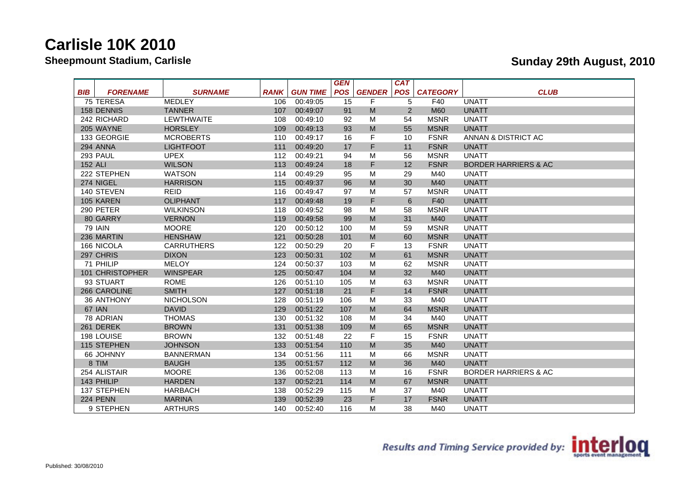|                               |                   |             |                 | <b>GEN</b> |                                   | <b>CAT</b>     |                 |                                 |
|-------------------------------|-------------------|-------------|-----------------|------------|-----------------------------------|----------------|-----------------|---------------------------------|
| <b>BIB</b><br><b>FORENAME</b> | <b>SURNAME</b>    | <b>RANK</b> | <b>GUN TIME</b> | <b>POS</b> | <b>GENDER</b>                     | <b>POS</b>     | <b>CATEGORY</b> | <b>CLUB</b>                     |
| 75 TERESA                     | <b>MEDLEY</b>     | 106         | 00:49:05        | 15         | F                                 | 5              | F40             | <b>UNATT</b>                    |
| <b>158 DENNIS</b>             | <b>TANNER</b>     | 107         | 00:49:07        | 91         | M                                 | $\overline{2}$ | <b>M60</b>      | <b>UNATT</b>                    |
| 242 RICHARD                   | <b>LEWTHWAITE</b> | 108         | 00:49:10        | 92         | M                                 | 54             | <b>MSNR</b>     | <b>UNATT</b>                    |
| 205 WAYNE                     | <b>HORSLEY</b>    | 109         | 00:49:13        | 93         | ${\sf M}$                         | 55             | <b>MSNR</b>     | <b>UNATT</b>                    |
| 133 GEORGIE                   | <b>MCROBERTS</b>  | 110         | 00:49:17        | 16         | F                                 | 10             | <b>FSNR</b>     | ANNAN & DISTRICT AC             |
| 294 ANNA                      | <b>LIGHTFOOT</b>  | 111         | 00:49:20        | 17         | F.                                | 11             | <b>FSNR</b>     | <b>UNATT</b>                    |
| 293 PAUL                      | <b>UPEX</b>       | 112         | 00:49:21        | 94         | M                                 | 56             | <b>MSNR</b>     | <b>UNATT</b>                    |
| 152 ALI                       | <b>WILSON</b>     | 113         | 00:49:24        | 18         | F                                 | 12             | <b>FSNR</b>     | <b>BORDER HARRIERS &amp; AC</b> |
| 222 STEPHEN                   | <b>WATSON</b>     | 114         | 00:49:29        | 95         | M                                 | 29             | M40             | <b>UNATT</b>                    |
| 274 NIGEL                     | <b>HARRISON</b>   | 115         | 00:49:37        | 96         | M                                 | 30             | M40             | <b>UNATT</b>                    |
| 140 STEVEN                    | <b>REID</b>       | 116         | 00:49:47        | 97         | M                                 | 57             | <b>MSNR</b>     | <b>UNATT</b>                    |
| 105 KAREN                     | <b>OLIPHANT</b>   | 117         | 00:49:48        | 19         | F.                                | 6              | F40             | <b>UNATT</b>                    |
| 290 PETER                     | <b>WILKINSON</b>  | 118         | 00:49:52        | 98         | M                                 | 58             | <b>MSNR</b>     | UNATT                           |
| 80 GARRY                      | <b>VERNON</b>     | 119         | 00:49:58        | 99         | M                                 | 31             | M40             | <b>UNATT</b>                    |
| 79 IAIN                       | <b>MOORE</b>      | 120         | 00:50:12        | 100        | M                                 | 59             | <b>MSNR</b>     | UNATT                           |
| 236 MARTIN                    | <b>HENSHAW</b>    | 121         | 00:50:28        | 101        | M                                 | 60             | <b>MSNR</b>     | <b>UNATT</b>                    |
| 166 NICOLA                    | <b>CARRUTHERS</b> | 122         | 00:50:29        | 20         | F                                 | 13             | <b>FSNR</b>     | <b>UNATT</b>                    |
| 297 CHRIS                     | <b>DIXON</b>      | 123         | 00:50:31        | 102        | $\mathsf{M}% _{H}=\mathsf{M}_{H}$ | 61             | <b>MSNR</b>     | <b>UNATT</b>                    |
| 71 PHILIP                     | <b>MELOY</b>      | 124         | 00:50:37        | 103        | M                                 | 62             | <b>MSNR</b>     | <b>UNATT</b>                    |
| 101 CHRISTOPHER               | <b>WINSPEAR</b>   | 125         | 00:50:47        | 104        | $\mathsf{M}% _{H}=\mathsf{M}_{H}$ | 32             | M40             | <b>UNATT</b>                    |
| 93 STUART                     | <b>ROME</b>       | 126         | 00:51:10        | 105        | M                                 | 63             | <b>MSNR</b>     | <b>UNATT</b>                    |
| 266 CAROLINE                  | <b>SMITH</b>      | 127         | 00:51:18        | 21         | F                                 | 14             | <b>FSNR</b>     | <b>UNATT</b>                    |
| 36 ANTHONY                    | <b>NICHOLSON</b>  | 128         | 00:51:19        | 106        | M                                 | 33             | M40             | UNATT                           |
| 67 IAN                        | <b>DAVID</b>      | 129         | 00:51:22        | 107        | $\mathsf{M}% _{H}=\mathsf{M}_{H}$ | 64             | <b>MSNR</b>     | <b>UNATT</b>                    |
| 78 ADRIAN                     | <b>THOMAS</b>     | 130         | 00:51:32        | 108        | M                                 | 34             | M40             | <b>UNATT</b>                    |
| 261 DEREK                     | <b>BROWN</b>      | 131         | 00:51:38        | 109        | $\mathsf{M}% _{H}=\mathsf{M}_{H}$ | 65             | <b>MSNR</b>     | <b>UNATT</b>                    |
| 198 LOUISE                    | <b>BROWN</b>      | 132         | 00:51:48        | 22         | F                                 | 15             | <b>FSNR</b>     | <b>UNATT</b>                    |
| 115 STEPHEN                   | <b>JOHNSON</b>    | 133         | 00:51:54        | 110        | $\mathsf{M}% _{H}=\mathsf{M}_{H}$ | 35             | M40             | <b>UNATT</b>                    |
| 66 JOHNNY                     | <b>BANNERMAN</b>  | 134         | 00:51:56        | 111        | M                                 | 66             | <b>MSNR</b>     | UNATT                           |
| 8 TIM                         | <b>BAUGH</b>      | 135         | 00:51:57        | 112        | $\mathsf{M}% _{H}=\mathsf{M}_{H}$ | 36             | M40             | <b>UNATT</b>                    |
| 254 ALISTAIR                  | <b>MOORE</b>      | 136         | 00:52:08        | 113        | M                                 | 16             | <b>FSNR</b>     | <b>BORDER HARRIERS &amp; AC</b> |
| 143 PHILIP                    | <b>HARDEN</b>     | 137         | 00:52:21        | 114        | $\mathsf{M}% _{H}=\mathsf{M}_{H}$ | 67             | <b>MSNR</b>     | <b>UNATT</b>                    |
| 137 STEPHEN                   | <b>HARBACH</b>    | 138         | 00:52:29        | 115        | M                                 | 37             | M40             | <b>UNATT</b>                    |
| 224 PENN                      | <b>MARINA</b>     | 139         | 00:52:39        | 23         | F                                 | 17             | <b>FSNR</b>     | <b>UNATT</b>                    |
| 9 STEPHEN                     | <b>ARTHURS</b>    | 140         | 00:52:40        | 116        | M                                 | 38             | M40             | <b>UNATT</b>                    |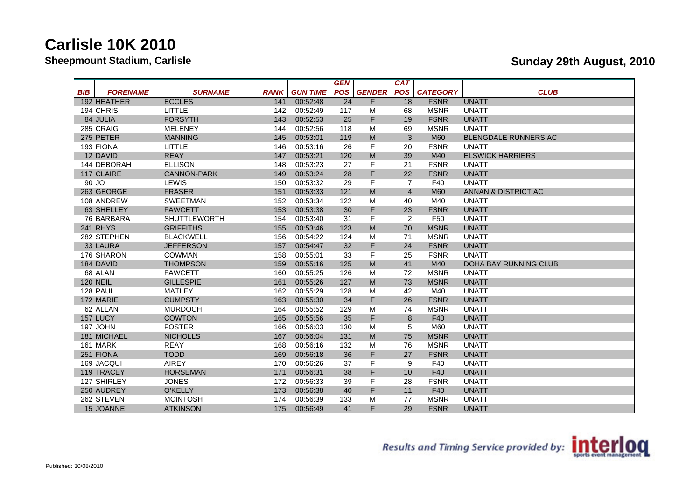|            |                 |                     |             |                 | <b>GEN</b> |                                   | <b>CAT</b>     |                 |                         |
|------------|-----------------|---------------------|-------------|-----------------|------------|-----------------------------------|----------------|-----------------|-------------------------|
| <b>BIB</b> | <b>FORENAME</b> | <b>SURNAME</b>      | <b>RANK</b> | <b>GUN TIME</b> | <b>POS</b> | <b>GENDER</b>                     | <b>POS</b>     | <b>CATEGORY</b> | <b>CLUB</b>             |
|            | 192 HEATHER     | <b>ECCLES</b>       | 141         | 00:52:48        | 24         | F                                 | 18             | <b>FSNR</b>     | <b>UNATT</b>            |
|            | 194 CHRIS       | LITTLE              | 142         | 00:52:49        | 117        | м                                 | 68             | <b>MSNR</b>     | <b>UNATT</b>            |
|            | 84 JULIA        | <b>FORSYTH</b>      | 143         | 00:52:53        | 25         | F                                 | 19             | <b>FSNR</b>     | <b>UNATT</b>            |
|            | 285 CRAIG       | <b>MELENEY</b>      | 144         | 00:52:56        | 118        | M                                 | 69             | <b>MSNR</b>     | <b>UNATT</b>            |
|            | 275 PETER       | <b>MANNING</b>      | 145         | 00:53:01        | 119        | M                                 | 3              | <b>M60</b>      | BLENGDALE RUNNERS AC    |
|            | 193 FIONA       | LITTLE              | 146         | 00:53:16        | 26         | F                                 | 20             | <b>FSNR</b>     | UNATT                   |
|            | 12 DAVID        | <b>REAY</b>         | 147         | 00:53:21        | 120        | M                                 | 39             | M40             | <b>ELSWICK HARRIERS</b> |
|            | 144 DEBORAH     | <b>ELLISON</b>      | 148         | 00:53:23        | 27         | F                                 | 21             | <b>FSNR</b>     | UNATT                   |
|            | 117 CLAIRE      | <b>CANNON-PARK</b>  | 149         | 00:53:24        | 28         | F                                 | 22             | <b>FSNR</b>     | <b>UNATT</b>            |
| 90 JO      |                 | <b>LEWIS</b>        | 150         | 00:53:32        | 29         | F                                 | $\overline{7}$ | F40             | <b>UNATT</b>            |
|            | 263 GEORGE      | <b>FRASER</b>       | 151         | 00:53:33        | 121        | M                                 | $\overline{4}$ | <b>M60</b>      | ANNAN & DISTRICT AC     |
|            | 108 ANDREW      | SWEETMAN            | 152         | 00:53:34        | 122        | M                                 | 40             | M40             | UNATT                   |
|            | 63 SHELLEY      | <b>FAWCETT</b>      | 153         | 00:53:38        | 30         | F                                 | 23             | <b>FSNR</b>     | <b>UNATT</b>            |
|            | 76 BARBARA      | <b>SHUTTLEWORTH</b> | 154         | 00:53:40        | 31         | F                                 | $\overline{2}$ | F50             | UNATT                   |
|            | <b>241 RHYS</b> | <b>GRIFFITHS</b>    | 155         | 00:53:46        | 123        | M                                 | 70             | <b>MSNR</b>     | <b>UNATT</b>            |
|            | 282 STEPHEN     | <b>BLACKWELL</b>    | 156         | 00:54:22        | 124        | M                                 | 71             | <b>MSNR</b>     | <b>UNATT</b>            |
|            | 33 LAURA        | <b>JEFFERSON</b>    | 157         | 00:54:47        | 32         | F                                 | 24             | <b>FSNR</b>     | <b>UNATT</b>            |
|            | 176 SHARON      | <b>COWMAN</b>       | 158         | 00:55:01        | 33         | F                                 | 25             | <b>FSNR</b>     | UNATT                   |
|            | 184 DAVID       | <b>THOMPSON</b>     | 159         | 00:55:16        | 125        | M                                 | 41             | M40             | DOHA BAY RUNNING CLUB   |
|            | 68 ALAN         | <b>FAWCETT</b>      | 160         | 00:55:25        | 126        | M                                 | 72             | <b>MSNR</b>     | <b>UNATT</b>            |
|            | <b>120 NEIL</b> | <b>GILLESPIE</b>    | 161         | 00:55:26        | 127        | $\mathsf{M}% _{H}=\mathsf{M}_{H}$ | 73             | <b>MSNR</b>     | <b>UNATT</b>            |
|            | 128 PAUL        | <b>MATLEY</b>       | 162         | 00:55:29        | 128        | M                                 | 42             | M40             | <b>UNATT</b>            |
|            | 172 MARIE       | <b>CUMPSTY</b>      | 163         | 00:55:30        | 34         | F                                 | 26             | <b>FSNR</b>     | <b>UNATT</b>            |
|            | 62 ALLAN        | <b>MURDOCH</b>      | 164         | 00:55:52        | 129        | M                                 | 74             | <b>MSNR</b>     | UNATT                   |
|            | 157 LUCY        | <b>COWTON</b>       | 165         | 00:55:56        | 35         | F                                 | 8              | F40             | <b>UNATT</b>            |
|            | 197 JOHN        | <b>FOSTER</b>       | 166         | 00:56:03        | 130        | M                                 | 5              | M60             | <b>UNATT</b>            |
|            | 181 MICHAEL     | <b>NICHOLLS</b>     | 167         | 00:56:04        | 131        | M                                 | 75             | <b>MSNR</b>     | <b>UNATT</b>            |
|            | 161 MARK        | <b>REAY</b>         | 168         | 00:56:16        | 132        | M                                 | 76             | <b>MSNR</b>     | <b>UNATT</b>            |
|            | 251 FIONA       | <b>TODD</b>         | 169         | 00:56:18        | 36         | F                                 | 27             | <b>FSNR</b>     | <b>UNATT</b>            |
|            | 169 JACQUI      | <b>AIREY</b>        | 170         | 00:56:26        | 37         | F                                 | 9              | F40             | <b>UNATT</b>            |
|            | 119 TRACEY      | <b>HORSEMAN</b>     | 171         | 00:56:31        | 38         | F                                 | 10             | F40             | <b>UNATT</b>            |
|            | 127 SHIRLEY     | <b>JONES</b>        | 172         | 00:56:33        | 39         | F                                 | 28             | <b>FSNR</b>     | <b>UNATT</b>            |
|            | 250 AUDREY      | <b>O'KELLY</b>      | 173         | 00:56:38        | 40         | F                                 | 11             | F40             | <b>UNATT</b>            |
|            | 262 STEVEN      | <b>MCINTOSH</b>     | 174         | 00:56:39        | 133        | м                                 | 77             | <b>MSNR</b>     | <b>UNATT</b>            |
|            | 15 JOANNE       | <b>ATKINSON</b>     | 175         | 00:56:49        | 41         | F                                 | 29             | <b>FSNR</b>     | <b>UNATT</b>            |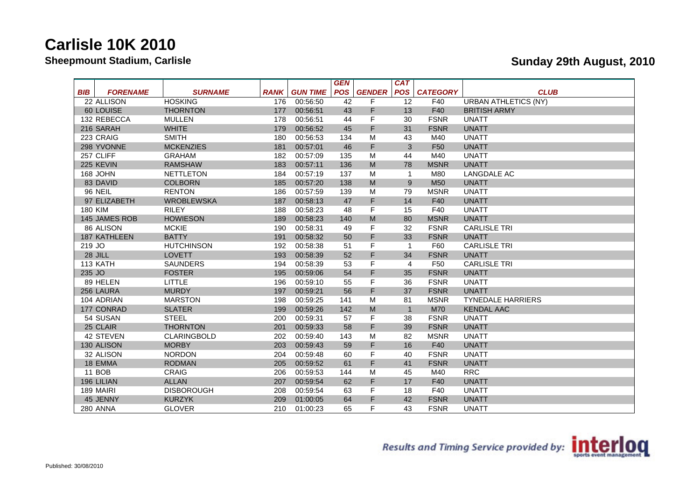|                 |                     |                    |             |                 | <b>GEN</b> |               | <b>CAT</b>     |                 |                             |
|-----------------|---------------------|--------------------|-------------|-----------------|------------|---------------|----------------|-----------------|-----------------------------|
| <b>BIB</b>      | <b>FORENAME</b>     | <b>SURNAME</b>     | <b>RANK</b> | <b>GUN TIME</b> | <b>POS</b> | <b>GENDER</b> | <b>POS</b>     | <b>CATEGORY</b> | <b>CLUB</b>                 |
|                 | 22 ALLISON          | <b>HOSKING</b>     | 176         | 00:56:50        | 42         | F             | 12             | F40             | <b>URBAN ATHLETICS (NY)</b> |
|                 | 60 LOUISE           | <b>THORNTON</b>    | 177         | 00:56:51        | 43         | F             | 13             | F40             | <b>BRITISH ARMY</b>         |
|                 | 132 REBECCA         | <b>MULLEN</b>      | 178         | 00:56:51        | 44         | F             | 30             | <b>FSNR</b>     | <b>UNATT</b>                |
|                 | 216 SARAH           | <b>WHITE</b>       | 179         | 00:56:52        | 45         | F             | 31             | <b>FSNR</b>     | <b>UNATT</b>                |
|                 | 223 CRAIG           | <b>SMITH</b>       | 180         | 00:56:53        | 134        | М             | 43             | M40             | <b>UNATT</b>                |
|                 | 298 YVONNE          | <b>MCKENZIES</b>   | 181         | 00:57:01        | 46         | F             | 3              | F <sub>50</sub> | <b>UNATT</b>                |
| 257 CLIFF       |                     | <b>GRAHAM</b>      | 182         | 00:57:09        | 135        | М             | 44             | M40             | <b>UNATT</b>                |
| 225 KEVIN       |                     | <b>RAMSHAW</b>     | 183         | 00:57:11        | 136        | ${\sf M}$     | 78             | <b>MSNR</b>     | <b>UNATT</b>                |
| 168 JOHN        |                     | <b>NETTLETON</b>   | 184         | 00:57:19        | 137        | M             | $\overline{1}$ | M80             | <b>LANGDALE AC</b>          |
|                 | 83 DAVID            | <b>COLBORN</b>     | 185         | 00:57:20        | 138        | ${\sf M}$     | 9              | M <sub>50</sub> | <b>UNATT</b>                |
| <b>96 NEIL</b>  |                     | <b>RENTON</b>      | 186         | 00:57:59        | 139        | М             | 79             | <b>MSNR</b>     | <b>UNATT</b>                |
|                 | 97 ELIZABETH        | <b>WROBLEWSKA</b>  | 187         | 00:58:13        | 47         | F             | 14             | F40             | <b>UNATT</b>                |
| 180 KIM         |                     | <b>RILEY</b>       | 188         | 00:58:23        | 48         | F             | 15             | F40             | <b>UNATT</b>                |
|                 | 145 JAMES ROB       | <b>HOWIESON</b>    | 189         | 00:58:23        | 140        | M             | 80             | <b>MSNR</b>     | <b>UNATT</b>                |
|                 | 86 ALISON           | <b>MCKIE</b>       | 190         | 00:58:31        | 49         | F             | 32             | <b>FSNR</b>     | <b>CARLISLE TRI</b>         |
|                 | <b>187 KATHLEEN</b> | <b>BATTY</b>       | 191         | 00:58:32        | 50         | F             | 33             | <b>FSNR</b>     | <b>UNATT</b>                |
| 219 JO          |                     | <b>HUTCHINSON</b>  | 192         | 00:58:38        | 51         | F             | $\overline{1}$ | F60             | <b>CARLISLE TRI</b>         |
| 28 JILL         |                     | <b>LOVETT</b>      | 193         | 00:58:39        | 52         | F             | 34             | <b>FSNR</b>     | <b>UNATT</b>                |
| 113 KATH        |                     | <b>SAUNDERS</b>    | 194         | 00:58:39        | 53         | F             | $\overline{4}$ | F50             | <b>CARLISLE TRI</b>         |
| 235 JO          |                     | <b>FOSTER</b>      | 195         | 00:59:06        | 54         | F             | 35             | <b>FSNR</b>     | <b>UNATT</b>                |
|                 | 89 HELEN            | LITTLE             | 196         | 00:59:10        | 55         | F             | 36             | <b>FSNR</b>     | <b>UNATT</b>                |
|                 | 256 LAURA           | <b>MURDY</b>       | 197         | 00:59:21        | 56         | F             | 37             | <b>FSNR</b>     | <b>UNATT</b>                |
|                 | 104 ADRIAN          | <b>MARSTON</b>     | 198         | 00:59:25        | 141        | M             | 81             | <b>MSNR</b>     | <b>TYNEDALE HARRIERS</b>    |
|                 | 177 CONRAD          | <b>SLATER</b>      | 199         | 00:59:26        | 142        | M             | $\overline{1}$ | <b>M70</b>      | <b>KENDAL AAC</b>           |
|                 | 54 SUSAN            | <b>STEEL</b>       | 200         | 00:59:31        | 57         | F             | 38             | <b>FSNR</b>     | <b>UNATT</b>                |
|                 | 25 CLAIR            | <b>THORNTON</b>    | 201         | 00:59:33        | 58         | F             | 39             | <b>FSNR</b>     | <b>UNATT</b>                |
|                 | 42 STEVEN           | <b>CLARINGBOLD</b> | 202         | 00:59:40        | 143        | М             | 82             | <b>MSNR</b>     | <b>UNATT</b>                |
|                 | 130 ALISON          | <b>MORBY</b>       | 203         | 00:59:43        | 59         | F             | 16             | F40             | <b>UNATT</b>                |
|                 | 32 ALISON           | <b>NORDON</b>      | 204         | 00:59:48        | 60         | F             | 40             | <b>FSNR</b>     | <b>UNATT</b>                |
|                 | 18 EMMA             | <b>RODMAN</b>      | 205         | 00:59:52        | 61         | F             | 41             | <b>FSNR</b>     | <b>UNATT</b>                |
| <b>11 BOB</b>   |                     | CRAIG              | 206         | 00:59:53        | 144        | M             | 45             | M40             | <b>RRC</b>                  |
| 196 LILIAN      |                     | <b>ALLAN</b>       | 207         | 00:59:54        | 62         | F             | 17             | F40             | <b>UNATT</b>                |
| 189 MAIRI       |                     | <b>DISBOROUGH</b>  | 208         | 00:59:54        | 63         | F             | 18             | F40             | UNATT                       |
|                 | 45 JENNY            | <b>KURZYK</b>      | 209         | 01:00:05        | 64         | F             | 42             | <b>FSNR</b>     | <b>UNATT</b>                |
| <b>280 ANNA</b> |                     | <b>GLOVER</b>      | 210         | 01:00:23        | 65         | F             | 43             | <b>FSNR</b>     | <b>UNATT</b>                |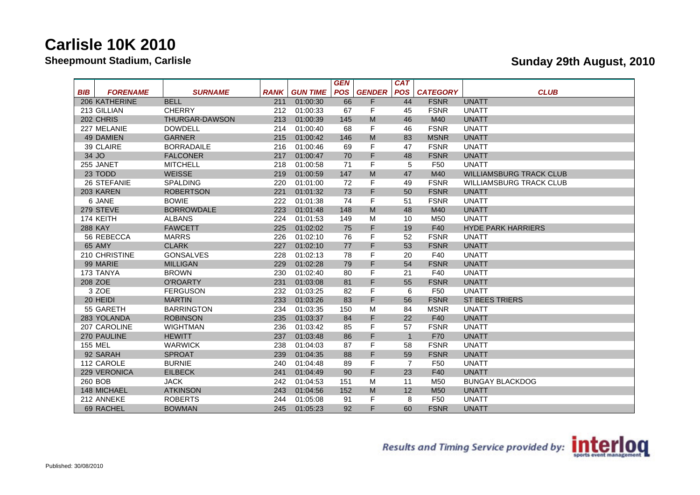|                               |                   |             |                 | <b>GEN</b> |                                   | <b>CAT</b>     |                 |                                |
|-------------------------------|-------------------|-------------|-----------------|------------|-----------------------------------|----------------|-----------------|--------------------------------|
| <b>BIB</b><br><b>FORENAME</b> | <b>SURNAME</b>    | <b>RANK</b> | <b>GUN TIME</b> | <b>POS</b> | <b>GENDER</b>                     | <b>POS</b>     | <b>CATEGORY</b> | <b>CLUB</b>                    |
| 206 KATHERINE                 | <b>BELL</b>       | 211         | 01:00:30        | 66         | F                                 | 44             | <b>FSNR</b>     | <b>UNATT</b>                   |
| 213 GILLIAN                   | <b>CHERRY</b>     | 212         | 01:00:33        | 67         | F                                 | 45             | <b>FSNR</b>     | UNATT                          |
| 202 CHRIS                     | THURGAR-DAWSON    | 213         | 01:00:39        | 145        | M                                 | 46             | M40             | <b>UNATT</b>                   |
| 227 MELANIE                   | <b>DOWDELL</b>    | 214         | 01:00:40        | 68         | F                                 | 46             | <b>FSNR</b>     | UNATT                          |
| <b>49 DAMIEN</b>              | <b>GARNER</b>     | 215         | 01:00:42        | 146        | M                                 | 83             | <b>MSNR</b>     | <b>UNATT</b>                   |
| 39 CLAIRE                     | <b>BORRADAILE</b> | 216         | 01:00:46        | 69         | F                                 | 47             | <b>FSNR</b>     | <b>UNATT</b>                   |
| 34 JO                         | <b>FALCONER</b>   | 217         | 01:00:47        | 70         | F                                 | 48             | <b>FSNR</b>     | <b>UNATT</b>                   |
| 255 JANET                     | <b>MITCHELL</b>   | 218         | 01:00:58        | 71         | F                                 | 5              | F50             | <b>UNATT</b>                   |
| 23 TODD                       | <b>WEISSE</b>     | 219         | 01:00:59        | 147        | M                                 | 47             | M40             | <b>WILLIAMSBURG TRACK CLUB</b> |
| 26 STEFANIE                   | <b>SPALDING</b>   | 220         | 01:01:00        | 72         | F                                 | 49             | <b>FSNR</b>     | <b>WILLIAMSBURG TRACK CLUB</b> |
| 203 KAREN                     | <b>ROBERTSON</b>  | 221         | 01:01:32        | 73         | F.                                | 50             | <b>FSNR</b>     | <b>UNATT</b>                   |
| 6 JANE                        | <b>BOWIE</b>      | 222         | 01:01:38        | 74         | F                                 | 51             | <b>FSNR</b>     | UNATT                          |
| 279 STEVE                     | <b>BORROWDALE</b> | 223         | 01:01:48        | 148        | M                                 | 48             | M40             | <b>UNATT</b>                   |
| 174 KEITH                     | <b>ALBANS</b>     | 224         | 01:01:53        | 149        | M                                 | 10             | M50             | <b>UNATT</b>                   |
| <b>288 KAY</b>                | <b>FAWCETT</b>    | 225         | 01:02:02        | 75         | F.                                | 19             | F40             | <b>HYDE PARK HARRIERS</b>      |
| 56 REBECCA                    | <b>MARRS</b>      | 226         | 01:02:10        | 76         | F                                 | 52             | <b>FSNR</b>     | <b>UNATT</b>                   |
| 65 AMY                        | <b>CLARK</b>      | 227         | 01:02:10        | 77         | F                                 | 53             | <b>FSNR</b>     | <b>UNATT</b>                   |
| 210 CHRISTINE                 | <b>GONSALVES</b>  | 228         | 01:02:13        | 78         | F                                 | 20             | F40             | <b>UNATT</b>                   |
| 99 MARIE                      | <b>MILLIGAN</b>   | 229         | 01:02:28        | 79         | F                                 | 54             | <b>FSNR</b>     | <b>UNATT</b>                   |
| 173 TANYA                     | <b>BROWN</b>      | 230         | 01:02:40        | 80         | F                                 | 21             | F40             | UNATT                          |
| 208 ZOE                       | <b>O'ROARTY</b>   | 231         | 01:03:08        | 81         | F.                                | 55             | <b>FSNR</b>     | <b>UNATT</b>                   |
| 3 ZOE                         | <b>FERGUSON</b>   | 232         | 01:03:25        | 82         | F                                 | 6              | F50             | <b>UNATT</b>                   |
| 20 HEIDI                      | <b>MARTIN</b>     | 233         | 01:03:26        | 83         | F.                                | 56             | <b>FSNR</b>     | <b>ST BEES TRIERS</b>          |
| 55 GARETH                     | <b>BARRINGTON</b> | 234         | 01:03:35        | 150        | M                                 | 84             | <b>MSNR</b>     | <b>UNATT</b>                   |
| 283 YOLANDA                   | <b>ROBINSON</b>   | 235         | 01:03:37        | 84         | F.                                | 22             | F40             | <b>UNATT</b>                   |
| 207 CAROLINE                  | <b>WIGHTMAN</b>   | 236         | 01:03:42        | 85         | F                                 | 57             | <b>FSNR</b>     | UNATT                          |
| 270 PAULINE                   | <b>HEWITT</b>     | 237         | 01:03:48        | 86         | F                                 | $\overline{1}$ | F70             | <b>UNATT</b>                   |
| <b>155 MEL</b>                | <b>WARWICK</b>    | 238         | 01:04:03        | 87         | F                                 | 58             | <b>FSNR</b>     | <b>UNATT</b>                   |
| 92 SARAH                      | <b>SPROAT</b>     | 239         | 01:04:35        | 88         | F.                                | 59             | <b>FSNR</b>     | <b>UNATT</b>                   |
| 112 CAROLE                    | <b>BURNIE</b>     | 240         | 01:04:48        | 89         | F                                 | $\overline{7}$ | F50             | <b>UNATT</b>                   |
| 229 VERONICA                  | <b>EILBECK</b>    | 241         | 01:04:49        | 90         | F                                 | 23             | F40             | <b>UNATT</b>                   |
| 260 BOB                       | <b>JACK</b>       | 242         | 01:04:53        | 151        | M                                 | 11             | M50             | <b>BUNGAY BLACKDOG</b>         |
| 148 MICHAEL                   | <b>ATKINSON</b>   | 243         | 01:04:56        | 152        | $\mathsf{M}% _{H}=\mathsf{M}_{H}$ | 12             | M <sub>50</sub> | <b>UNATT</b>                   |
| 212 ANNEKE                    | <b>ROBERTS</b>    | 244         | 01:05:08        | 91         | F                                 | 8              | F50             | <b>UNATT</b>                   |
| 69 RACHEL                     | <b>BOWMAN</b>     | 245         | 01:05:23        | 92         | F.                                | 60             | <b>FSNR</b>     | <b>UNATT</b>                   |